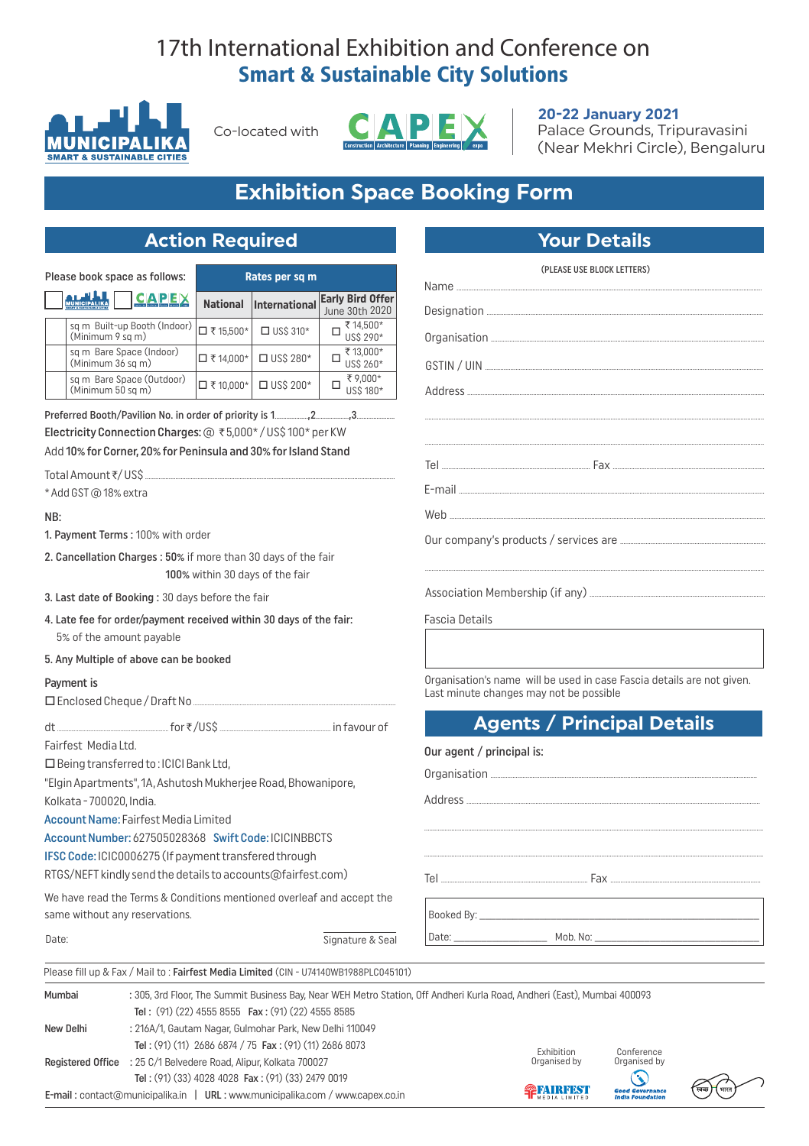# 17th International Exhibition and Conference on **Smart & Sustainable City Solutions**



Co-located with



### 20-22 January 2021

Palace Grounds, Tripuravasini (Near Mekhri Circle), Bengaluru

# **Exhibition Space Booking Form**

## **Action Required**

| Please book space as follows:                      |                 | Rates per sq m   |                                           |  |
|----------------------------------------------------|-----------------|------------------|-------------------------------------------|--|
| <u>CAPEX</u>                                       | <b>National</b> | International    | <b>Early Bird Offer</b><br>June 30th 2020 |  |
| sq m Built-up Booth (Indoor)  <br>(Minimum 9 sq m) | □ ₹15,500*      | $\Box$ US\$ 310* | ₹14,500*<br>US\$ 290*                     |  |
| sq m Bare Space (Indoor)<br>(Minimum 36 sq m)      | □₹14,000*       | $\Box$ US\$ 280* | ₹13,000*<br>US\$ 260*                     |  |
| sq m Bare Space (Outdoor)<br>(Minimum 50 sq m)     | □₹10,000*       | $\Box$ US\$ 200* | ₹9,000*<br>US\$ 180*                      |  |

Electricity Connection Charges: @ ₹5,000\*/US\$100\* per KW Add 10% for Corner, 20% for Peninsula and 30% for Island Stand

Total Amount₹/US\$

\* Add GST@18% extra

#### NB:

- 1. Payment Terms: 100% with order
- 2. Cancellation Charges: 50% if more than 30 days of the fair 100% within 30 days of the fair
- 3. Last date of Booking: 30 days before the fair
- 4. Late fee for order/payment received within 30 days of the fair: 5% of the amount payable
- 5. Any Multiple of above can be booked

#### Payment is

□ Enclosed Cheque / Draft No.

for₹/US\$  $H$ in favour of

Fairfest Media Ltd.

□ Being transferred to: ICICI Bank Ltd,

"Elgin Apartments", 1A, Ashutosh Mukherjee Road, Bhowanipore, Kolkata - 700020, India.

Account Name: Fairfest Media Limited

Account Number: 627505028368 Swift Code: ICICINBBCTS

IFSC Code: ICIC0006275 (If payment transfered through

RTGS/NEFT kindly send the details to accounts@fairfest.com)

We have read the Terms & Conditions mentioned overleaf and accept the same without any reservations.

| ×<br>٧<br><b>Contract Contract Contract</b><br>. |
|--------------------------------------------------|
|--------------------------------------------------|

|                       | <b>Your Details</b>                                                                                                                                                                                                                                                                                                                                                                                                                                                                                                                                                                                                                               |  |  |  |
|-----------------------|---------------------------------------------------------------------------------------------------------------------------------------------------------------------------------------------------------------------------------------------------------------------------------------------------------------------------------------------------------------------------------------------------------------------------------------------------------------------------------------------------------------------------------------------------------------------------------------------------------------------------------------------------|--|--|--|
|                       | (PLEASE USE BLOCK LETTERS)                                                                                                                                                                                                                                                                                                                                                                                                                                                                                                                                                                                                                        |  |  |  |
|                       |                                                                                                                                                                                                                                                                                                                                                                                                                                                                                                                                                                                                                                                   |  |  |  |
|                       |                                                                                                                                                                                                                                                                                                                                                                                                                                                                                                                                                                                                                                                   |  |  |  |
|                       |                                                                                                                                                                                                                                                                                                                                                                                                                                                                                                                                                                                                                                                   |  |  |  |
|                       |                                                                                                                                                                                                                                                                                                                                                                                                                                                                                                                                                                                                                                                   |  |  |  |
|                       |                                                                                                                                                                                                                                                                                                                                                                                                                                                                                                                                                                                                                                                   |  |  |  |
|                       |                                                                                                                                                                                                                                                                                                                                                                                                                                                                                                                                                                                                                                                   |  |  |  |
|                       |                                                                                                                                                                                                                                                                                                                                                                                                                                                                                                                                                                                                                                                   |  |  |  |
|                       |                                                                                                                                                                                                                                                                                                                                                                                                                                                                                                                                                                                                                                                   |  |  |  |
|                       | $E\text{-mail} \begin{minipage}[c]{0.5\textwidth} \centering \centering \includegraphics[width=0.5\textwidth]{figures/0.5\textwidth} \centering \includegraphics[width=0.5\textwidth]{figures/0.5\textwidth} \centering \includegraphics[width=0.5\textwidth]{figures/0.5\textwidth} \centering \includegraphics[width=0.5\textwidth]{figures/0.5\textwidth} \centering \includegraphics[width=0.5\textwidth]{figures/0.5\textwidth} \centering \includegraphics[width=0.5\textwidth]{figures/0.5\textwidth} \centering \includegraphics[width=0.5\textwidth]{figures/0.5\textwidth} \centering \includegraphics[width=0.5\textwidth]{figures/0.$ |  |  |  |
|                       |                                                                                                                                                                                                                                                                                                                                                                                                                                                                                                                                                                                                                                                   |  |  |  |
|                       |                                                                                                                                                                                                                                                                                                                                                                                                                                                                                                                                                                                                                                                   |  |  |  |
|                       |                                                                                                                                                                                                                                                                                                                                                                                                                                                                                                                                                                                                                                                   |  |  |  |
|                       |                                                                                                                                                                                                                                                                                                                                                                                                                                                                                                                                                                                                                                                   |  |  |  |
| <b>Fascia Details</b> |                                                                                                                                                                                                                                                                                                                                                                                                                                                                                                                                                                                                                                                   |  |  |  |
|                       |                                                                                                                                                                                                                                                                                                                                                                                                                                                                                                                                                                                                                                                   |  |  |  |
|                       |                                                                                                                                                                                                                                                                                                                                                                                                                                                                                                                                                                                                                                                   |  |  |  |

Organisation's name will be used in case Fascia details are not given. Last minute changes may not be possible

## **Agents / Principal Details**

| Our agent / principal is: |  |
|---------------------------|--|
|                           |  |
|                           |  |
|                           |  |
|                           |  |

Mob. No:

Signature & Seal

Please fill up & Fax / Mail to: Fairfest Media Limited (CIN - U74140WB1988PLC045101)

Booked By: \_ Date:

| Mumbai    | : 305, 3rd Floor, The Summit Business Bay, Near WEH Metro Station, Off Andheri Kurla Road, Andheri (East), Mumbai 400093 |                  |                                                   |  |  |
|-----------|--------------------------------------------------------------------------------------------------------------------------|------------------|---------------------------------------------------|--|--|
|           | Tel: $(91)$ $(22)$ 4555 8555 Fax: $(91)$ $(22)$ 4555 8585                                                                |                  |                                                   |  |  |
| New Delhi | : 216A/1, Gautam Nagar, Gulmohar Park, New Delhi 110049                                                                  |                  |                                                   |  |  |
|           | Tel: (91) (11) 2686 6874 / 75 Fax: (91) (11) 2686 8073                                                                   | Exhibition       | Conference                                        |  |  |
|           | Registered Office : 25 C/1 Belvedere Road, Alipur, Kolkata 700027                                                        | Organised by     | Organised by                                      |  |  |
|           | Tel: (91) (33) 4028 4028 Fax: (91) (33) 2479 0019                                                                        |                  | $\odot$                                           |  |  |
|           | $E$ -mail: contact@municipalika.in   URL: www.municipalika.com / www.capex.co.in                                         | <b>PIAIRFEST</b> | <b>Good Governance</b><br><b>India Foundation</b> |  |  |